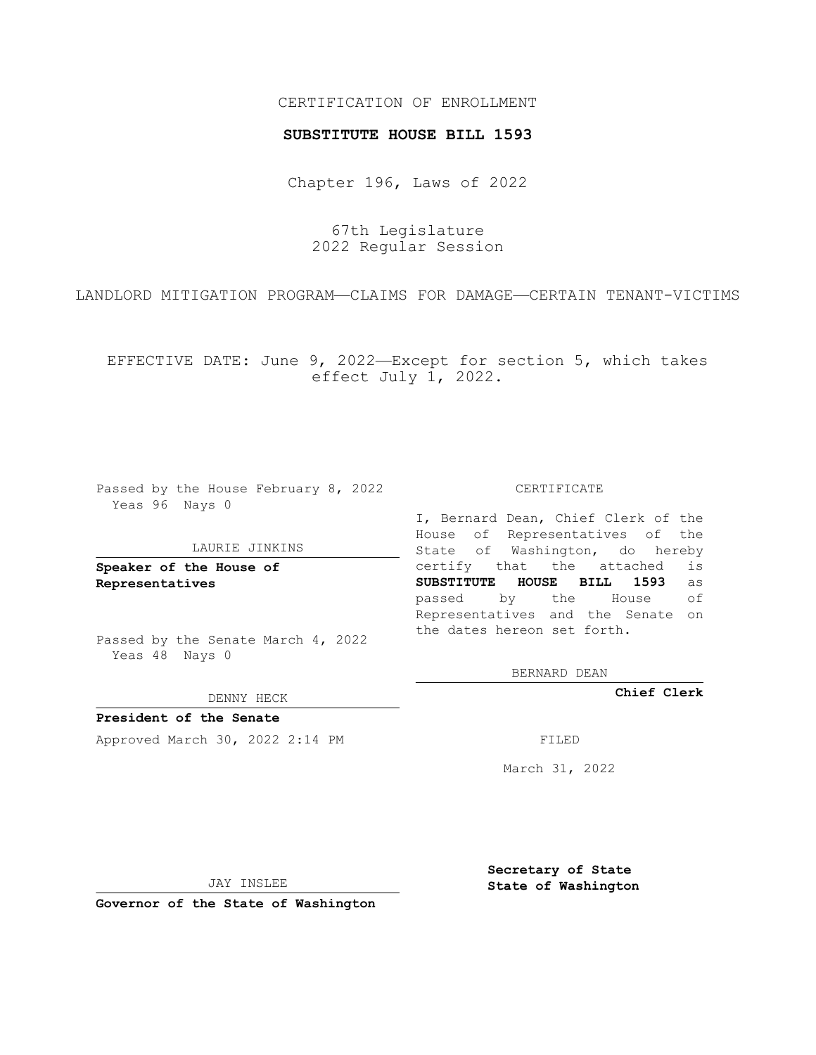## CERTIFICATION OF ENROLLMENT

### **SUBSTITUTE HOUSE BILL 1593**

Chapter 196, Laws of 2022

67th Legislature 2022 Regular Session

LANDLORD MITIGATION PROGRAM—CLAIMS FOR DAMAGE—CERTAIN TENANT-VICTIMS

EFFECTIVE DATE: June 9, 2022—Except for section 5, which takes effect July 1, 2022.

Passed by the House February 8, 2022 Yeas 96 Nays 0

#### LAURIE JINKINS

**Speaker of the House of Representatives**

Passed by the Senate March 4, 2022 Yeas 48 Nays 0

DENNY HECK

**President of the Senate** Approved March 30, 2022 2:14 PM

CERTIFICATE

I, Bernard Dean, Chief Clerk of the House of Representatives of the State of Washington, do hereby certify that the attached is **SUBSTITUTE HOUSE BILL 1593** as passed by the House of Representatives and the Senate on the dates hereon set forth.

BERNARD DEAN

**Chief Clerk**

March 31, 2022

JAY INSLEE

**Governor of the State of Washington**

**Secretary of State State of Washington**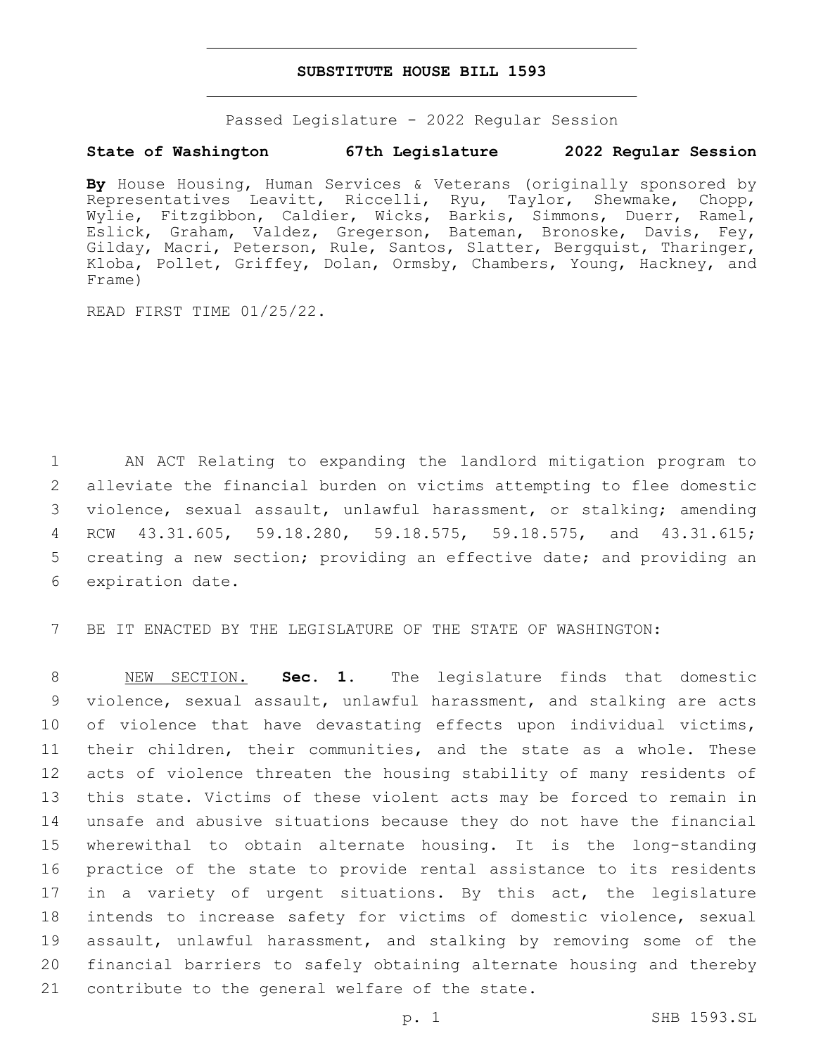### **SUBSTITUTE HOUSE BILL 1593**

Passed Legislature - 2022 Regular Session

# **State of Washington 67th Legislature 2022 Regular Session**

**By** House Housing, Human Services & Veterans (originally sponsored by Representatives Leavitt, Riccelli, Ryu, Taylor, Shewmake, Chopp, Wylie, Fitzgibbon, Caldier, Wicks, Barkis, Simmons, Duerr, Ramel, Eslick, Graham, Valdez, Gregerson, Bateman, Bronoske, Davis, Fey, Gilday, Macri, Peterson, Rule, Santos, Slatter, Bergquist, Tharinger, Kloba, Pollet, Griffey, Dolan, Ormsby, Chambers, Young, Hackney, and Frame)

READ FIRST TIME 01/25/22.

 AN ACT Relating to expanding the landlord mitigation program to alleviate the financial burden on victims attempting to flee domestic violence, sexual assault, unlawful harassment, or stalking; amending RCW 43.31.605, 59.18.280, 59.18.575, 59.18.575, and 43.31.615; creating a new section; providing an effective date; and providing an 6 expiration date.

7 BE IT ENACTED BY THE LEGISLATURE OF THE STATE OF WASHINGTON:

 NEW SECTION. **Sec. 1.** The legislature finds that domestic violence, sexual assault, unlawful harassment, and stalking are acts 10 of violence that have devastating effects upon individual victims, their children, their communities, and the state as a whole. These acts of violence threaten the housing stability of many residents of this state. Victims of these violent acts may be forced to remain in unsafe and abusive situations because they do not have the financial wherewithal to obtain alternate housing. It is the long-standing practice of the state to provide rental assistance to its residents 17 in a variety of urgent situations. By this act, the legislature intends to increase safety for victims of domestic violence, sexual 19 assault, unlawful harassment, and stalking by removing some of the financial barriers to safely obtaining alternate housing and thereby contribute to the general welfare of the state.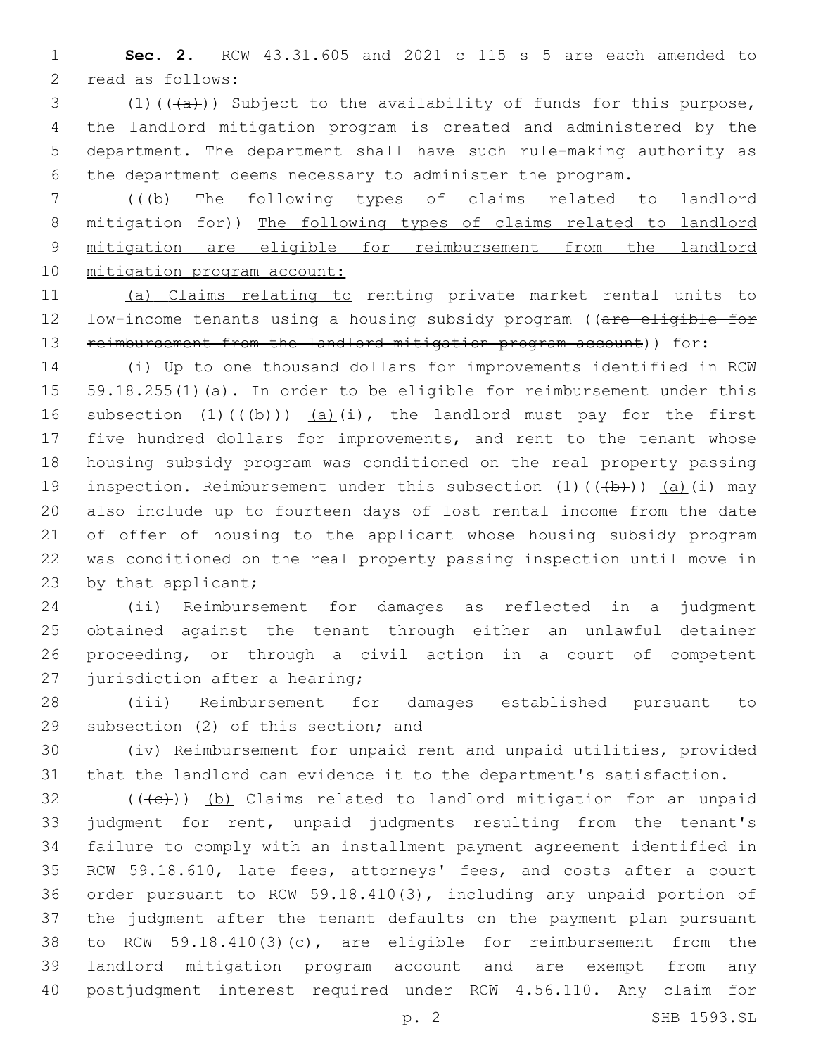**Sec. 2.** RCW 43.31.605 and 2021 c 115 s 5 are each amended to 2 read as follows:

3 (1)( $(\overline{a})$ ) Subject to the availability of funds for this purpose, the landlord mitigation program is created and administered by the department. The department shall have such rule-making authority as the department deems necessary to administer the program.

 (((b) The following types of claims related to landlord mitigation for)) The following types of claims related to landlord mitigation are eligible for reimbursement from the landlord 10 mitigation program account:

 (a) Claims relating to renting private market rental units to 12 low-income tenants using a housing subsidy program ((are eligible for 13 reimbursement from the landlord mitigation program account)) for:

 (i) Up to one thousand dollars for improvements identified in RCW 59.18.255(1)(a). In order to be eligible for reimbursement under this 16 subsection  $(1)$   $((+b))$   $(a)$   $(i)$ , the landlord must pay for the first five hundred dollars for improvements, and rent to the tenant whose housing subsidy program was conditioned on the real property passing 19 inspection. Reimbursement under this subsection  $(1)$   $((+b))$   $(a)$   $(i)$  may also include up to fourteen days of lost rental income from the date of offer of housing to the applicant whose housing subsidy program was conditioned on the real property passing inspection until move in 23 by that applicant;

 (ii) Reimbursement for damages as reflected in a judgment obtained against the tenant through either an unlawful detainer proceeding, or through a civil action in a court of competent 27 jurisdiction after a hearing;

 (iii) Reimbursement for damages established pursuant to 29 subsection (2) of this section; and

 (iv) Reimbursement for unpaid rent and unpaid utilities, provided that the landlord can evidence it to the department's satisfaction.

 (( $\left(\frac{1}{10}\right)$ ) (b) Claims related to landlord mitigation for an unpaid judgment for rent, unpaid judgments resulting from the tenant's failure to comply with an installment payment agreement identified in RCW 59.18.610, late fees, attorneys' fees, and costs after a court order pursuant to RCW 59.18.410(3), including any unpaid portion of the judgment after the tenant defaults on the payment plan pursuant to RCW 59.18.410(3)(c), are eligible for reimbursement from the landlord mitigation program account and are exempt from any postjudgment interest required under RCW 4.56.110. Any claim for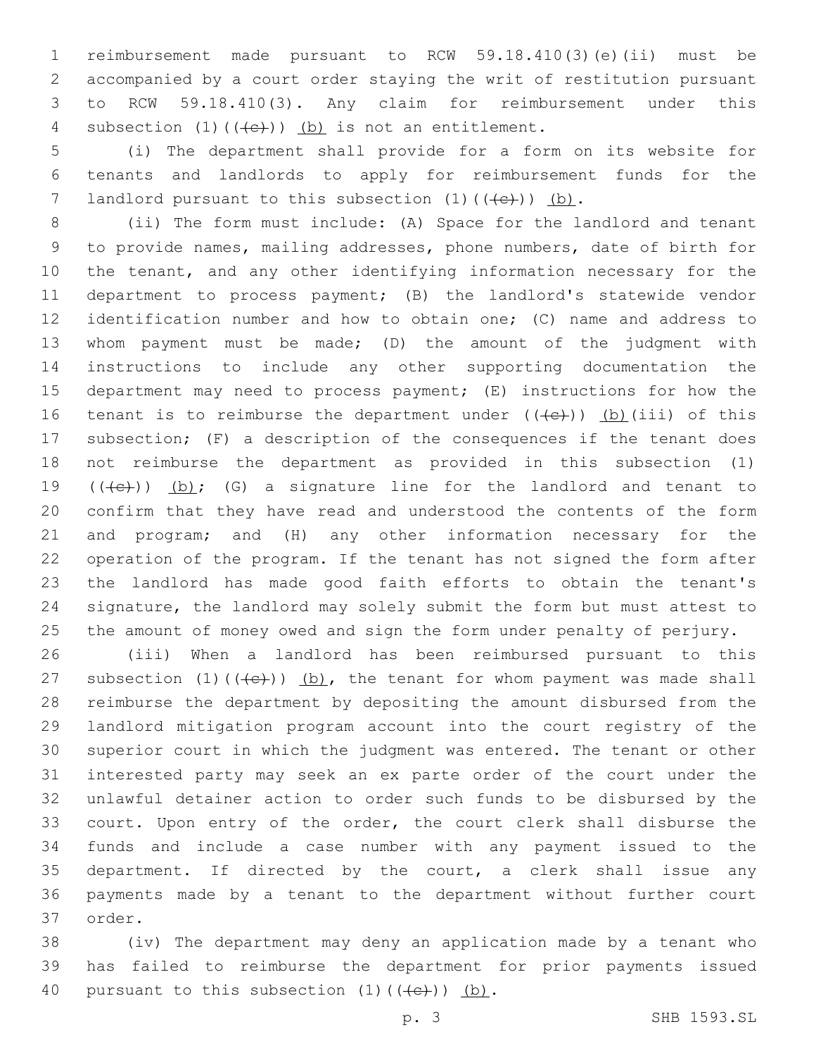reimbursement made pursuant to RCW 59.18.410(3)(e)(ii) must be accompanied by a court order staying the writ of restitution pursuant to RCW 59.18.410(3). Any claim for reimbursement under this 4 subsection  $(1)$   $((e+))$   $(b)$  is not an entitlement.

 (i) The department shall provide for a form on its website for tenants and landlords to apply for reimbursement funds for the 7 landlord pursuant to this subsection  $(1)$   $((+e+))$  (b).

 (ii) The form must include: (A) Space for the landlord and tenant to provide names, mailing addresses, phone numbers, date of birth for the tenant, and any other identifying information necessary for the department to process payment; (B) the landlord's statewide vendor identification number and how to obtain one; (C) name and address to whom payment must be made; (D) the amount of the judgment with instructions to include any other supporting documentation the department may need to process payment; (E) instructions for how the 16 tenant is to reimburse the department under  $((+e))$  (b)(iii) of this subsection; (F) a description of the consequences if the tenant does not reimburse the department as provided in this subsection (1)  $((+e))$   $(b)$ ; (G) a signature line for the landlord and tenant to confirm that they have read and understood the contents of the form and program; and (H) any other information necessary for the operation of the program. If the tenant has not signed the form after the landlord has made good faith efforts to obtain the tenant's signature, the landlord may solely submit the form but must attest to the amount of money owed and sign the form under penalty of perjury.

 (iii) When a landlord has been reimbursed pursuant to this 27 subsection  $(1)$   $((e+))$   $(b)$ , the tenant for whom payment was made shall reimburse the department by depositing the amount disbursed from the landlord mitigation program account into the court registry of the superior court in which the judgment was entered. The tenant or other interested party may seek an ex parte order of the court under the unlawful detainer action to order such funds to be disbursed by the court. Upon entry of the order, the court clerk shall disburse the funds and include a case number with any payment issued to the department. If directed by the court, a clerk shall issue any payments made by a tenant to the department without further court 37 order.

 (iv) The department may deny an application made by a tenant who has failed to reimburse the department for prior payments issued 40 pursuant to this subsection  $(1)$   $((e+))$   $(b)$ .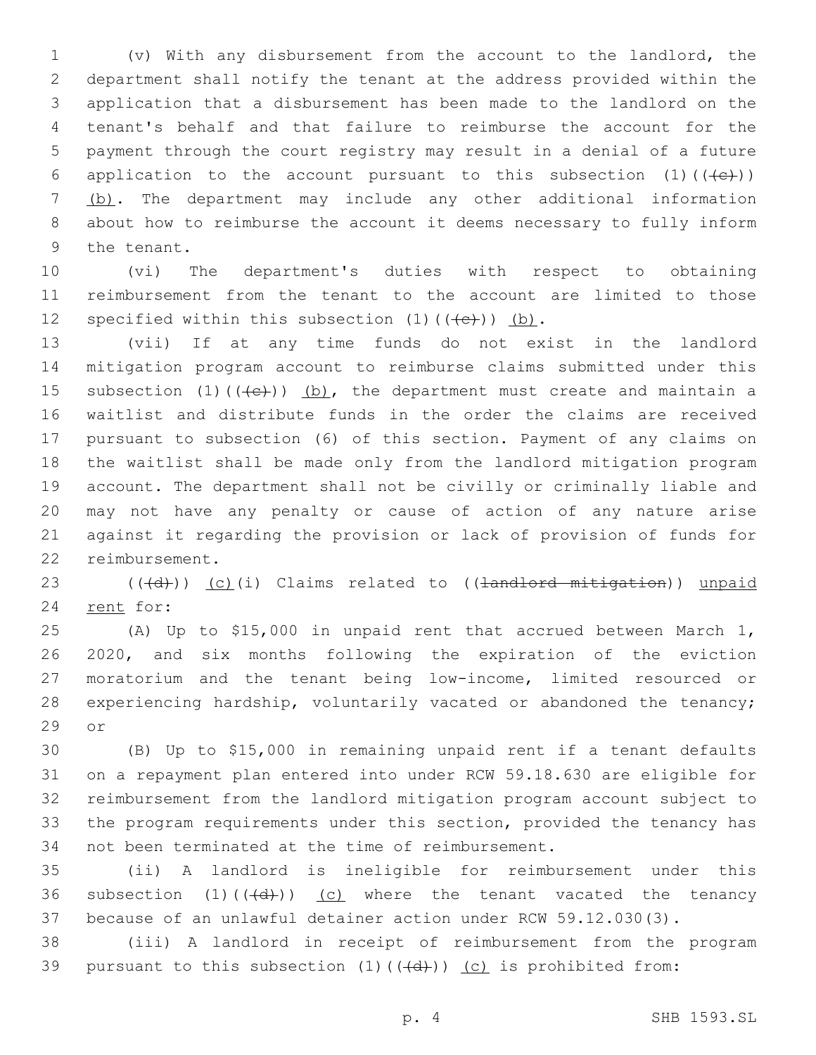(v) With any disbursement from the account to the landlord, the department shall notify the tenant at the address provided within the application that a disbursement has been made to the landlord on the tenant's behalf and that failure to reimburse the account for the payment through the court registry may result in a denial of a future 6 application to the account pursuant to this subsection  $(1)$  ( $(\leftarrow\leftarrow\leftarrow)$ ) (b). The department may include any other additional information about how to reimburse the account it deems necessary to fully inform 9 the tenant.

 (vi) The department's duties with respect to obtaining reimbursement from the tenant to the account are limited to those 12 specified within this subsection  $(1)$   $((e+))$   $(b)$ .

 (vii) If at any time funds do not exist in the landlord mitigation program account to reimburse claims submitted under this 15 subsection  $(1)$   $((e+))$   $(b)$ , the department must create and maintain a waitlist and distribute funds in the order the claims are received pursuant to subsection (6) of this section. Payment of any claims on the waitlist shall be made only from the landlord mitigation program account. The department shall not be civilly or criminally liable and may not have any penalty or cause of action of any nature arise against it regarding the provision or lack of provision of funds for 22 reimbursement.

 ( $(\overline{d})$ ) (c)(i) Claims related to ((<del>landlord mitigation</del>)) unpaid 24 rent for:

 (A) Up to \$15,000 in unpaid rent that accrued between March 1, 2020, and six months following the expiration of the eviction moratorium and the tenant being low-income, limited resourced or experiencing hardship, voluntarily vacated or abandoned the tenancy; 29 or

 (B) Up to \$15,000 in remaining unpaid rent if a tenant defaults on a repayment plan entered into under RCW 59.18.630 are eligible for reimbursement from the landlord mitigation program account subject to the program requirements under this section, provided the tenancy has 34 not been terminated at the time of reimbursement.

 (ii) A landlord is ineligible for reimbursement under this 36 subsection  $(1)$   $((\overline{d}))$   $(c)$  where the tenant vacated the tenancy because of an unlawful detainer action under RCW 59.12.030(3).

 (iii) A landlord in receipt of reimbursement from the program 39 pursuant to this subsection  $(1)$   $((\overline{d}))$   $(c)$  is prohibited from:

p. 4 SHB 1593.SL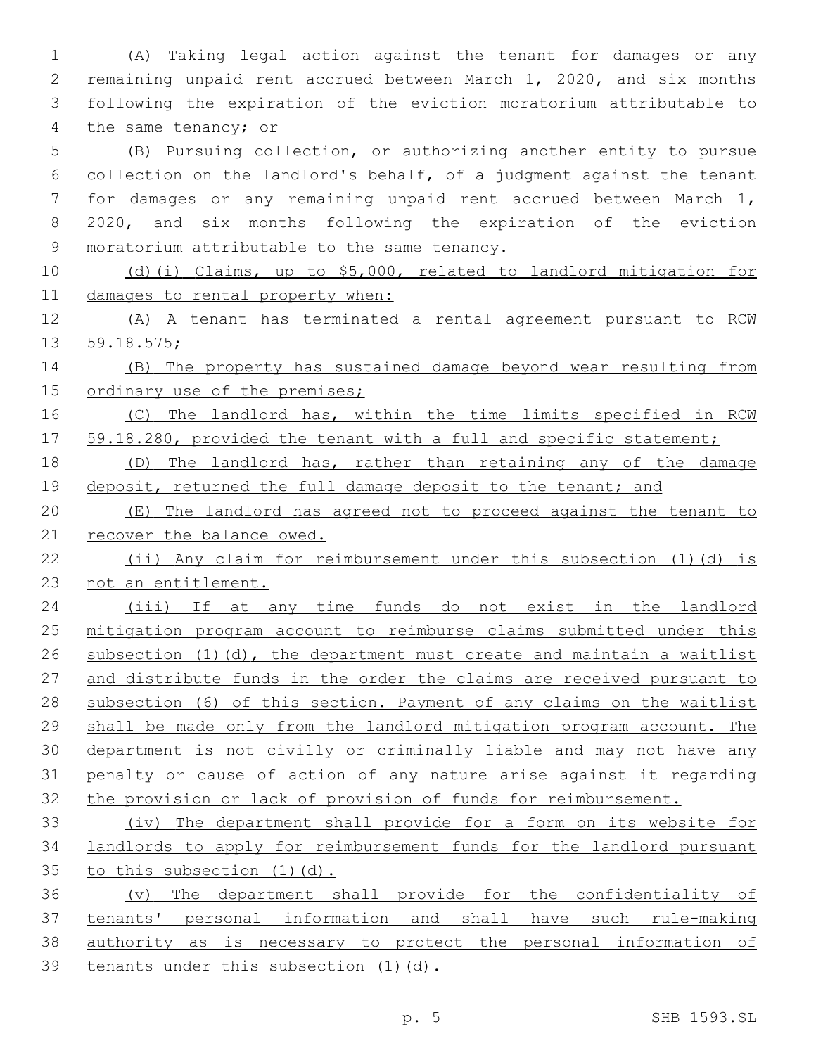(A) Taking legal action against the tenant for damages or any remaining unpaid rent accrued between March 1, 2020, and six months following the expiration of the eviction moratorium attributable to 4 the same tenancy; or

 (B) Pursuing collection, or authorizing another entity to pursue collection on the landlord's behalf, of a judgment against the tenant for damages or any remaining unpaid rent accrued between March 1, 2020, and six months following the expiration of the eviction 9 moratorium attributable to the same tenancy.

 (d)(i) Claims, up to \$5,000, related to landlord mitigation for damages to rental property when:

 (A) A tenant has terminated a rental agreement pursuant to RCW 59.18.575;

 (B) The property has sustained damage beyond wear resulting from 15 ordinary use of the premises;

16 (C) The landlord has, within the time limits specified in RCW 17 59.18.280, provided the tenant with a full and specific statement;

 (D) The landlord has, rather than retaining any of the damage 19 deposit, returned the full damage deposit to the tenant; and

 (E) The landlord has agreed not to proceed against the tenant to 21 recover the balance owed.

 (ii) Any claim for reimbursement under this subsection (1)(d) is not an entitlement.

 (iii) If at any time funds do not exist in the landlord mitigation program account to reimburse claims submitted under this subsection (1)(d), the department must create and maintain a waitlist and distribute funds in the order the claims are received pursuant to subsection (6) of this section. Payment of any claims on the waitlist shall be made only from the landlord mitigation program account. The department is not civilly or criminally liable and may not have any penalty or cause of action of any nature arise against it regarding the provision or lack of provision of funds for reimbursement.

 (iv) The department shall provide for a form on its website for landlords to apply for reimbursement funds for the landlord pursuant 35 to this subsection (1)(d).

 (v) The department shall provide for the confidentiality of tenants' personal information and shall have such rule-making authority as is necessary to protect the personal information of tenants under this subsection (1)(d).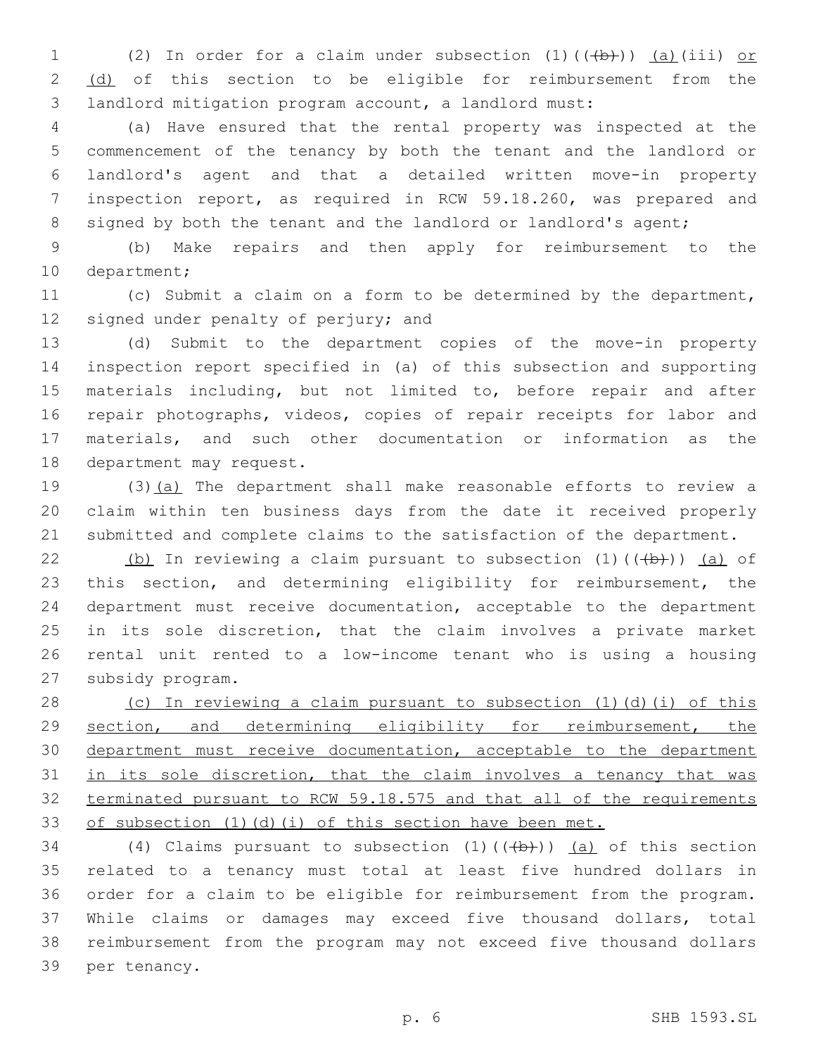1 (2) In order for a claim under subsection  $(1)$   $((+b))$   $(a)$  (iii) or 2 (d) of this section to be eligible for reimbursement from the landlord mitigation program account, a landlord must:

 (a) Have ensured that the rental property was inspected at the commencement of the tenancy by both the tenant and the landlord or landlord's agent and that a detailed written move-in property inspection report, as required in RCW 59.18.260, was prepared and 8 signed by both the tenant and the landlord or landlord's agent;

 (b) Make repairs and then apply for reimbursement to the 10 department;

 (c) Submit a claim on a form to be determined by the department, 12 signed under penalty of perjury; and

 (d) Submit to the department copies of the move-in property inspection report specified in (a) of this subsection and supporting materials including, but not limited to, before repair and after repair photographs, videos, copies of repair receipts for labor and materials, and such other documentation or information as the 18 department may request.

 (3)(a) The department shall make reasonable efforts to review a claim within ten business days from the date it received properly submitted and complete claims to the satisfaction of the department.

22 (b) In reviewing a claim pursuant to subsection  $(1)$   $((+b))$   $(a)$  of this section, and determining eligibility for reimbursement, the department must receive documentation, acceptable to the department in its sole discretion, that the claim involves a private market rental unit rented to a low-income tenant who is using a housing 27 subsidy program.

 (c) In reviewing a claim pursuant to subsection (1)(d)(i) of this section, and determining eligibility for reimbursement, the 30 department must receive documentation, acceptable to the department 31 in its sole discretion, that the claim involves a tenancy that was terminated pursuant to RCW 59.18.575 and that all of the requirements 33 of subsection (1)(d)(i) of this section have been met.

34 (4) Claims pursuant to subsection  $(1)$   $((+b))$   $(a)$  of this section related to a tenancy must total at least five hundred dollars in order for a claim to be eligible for reimbursement from the program. While claims or damages may exceed five thousand dollars, total reimbursement from the program may not exceed five thousand dollars 39 per tenancy.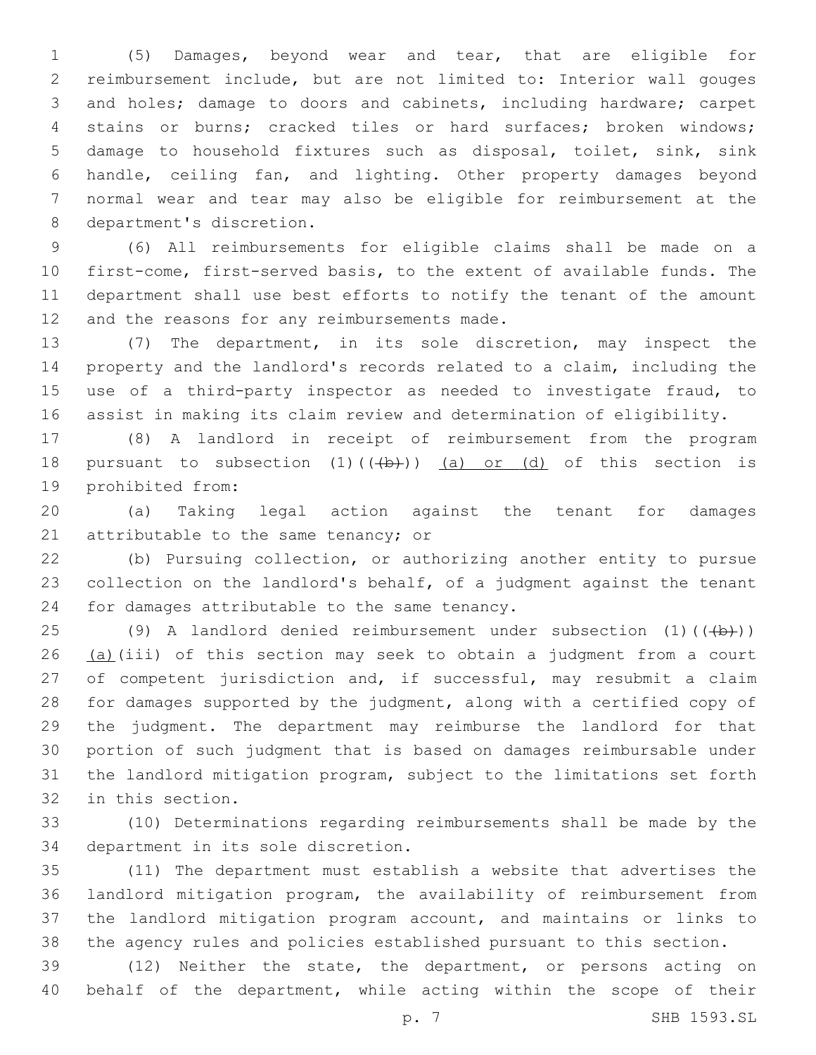(5) Damages, beyond wear and tear, that are eligible for reimbursement include, but are not limited to: Interior wall gouges and holes; damage to doors and cabinets, including hardware; carpet stains or burns; cracked tiles or hard surfaces; broken windows; damage to household fixtures such as disposal, toilet, sink, sink handle, ceiling fan, and lighting. Other property damages beyond normal wear and tear may also be eligible for reimbursement at the 8 department's discretion.

 (6) All reimbursements for eligible claims shall be made on a first-come, first-served basis, to the extent of available funds. The department shall use best efforts to notify the tenant of the amount 12 and the reasons for any reimbursements made.

 (7) The department, in its sole discretion, may inspect the property and the landlord's records related to a claim, including the use of a third-party inspector as needed to investigate fraud, to assist in making its claim review and determination of eligibility.

 (8) A landlord in receipt of reimbursement from the program 18 pursuant to subsection  $(1)$   $((+b))$   $(a)$  or  $(d)$  of this section is 19 prohibited from:

 (a) Taking legal action against the tenant for damages 21 attributable to the same tenancy; or

 (b) Pursuing collection, or authorizing another entity to pursue collection on the landlord's behalf, of a judgment against the tenant 24 for damages attributable to the same tenancy.

25 (9) A landlord denied reimbursement under subsection  $(1)$  ( $(\overline{(+b)})$ ) 26 (a)(iii) of this section may seek to obtain a judgment from a court 27 of competent jurisdiction and, if successful, may resubmit a claim for damages supported by the judgment, along with a certified copy of the judgment. The department may reimburse the landlord for that portion of such judgment that is based on damages reimbursable under the landlord mitigation program, subject to the limitations set forth 32 in this section.

 (10) Determinations regarding reimbursements shall be made by the 34 department in its sole discretion.

 (11) The department must establish a website that advertises the landlord mitigation program, the availability of reimbursement from the landlord mitigation program account, and maintains or links to the agency rules and policies established pursuant to this section.

 (12) Neither the state, the department, or persons acting on behalf of the department, while acting within the scope of their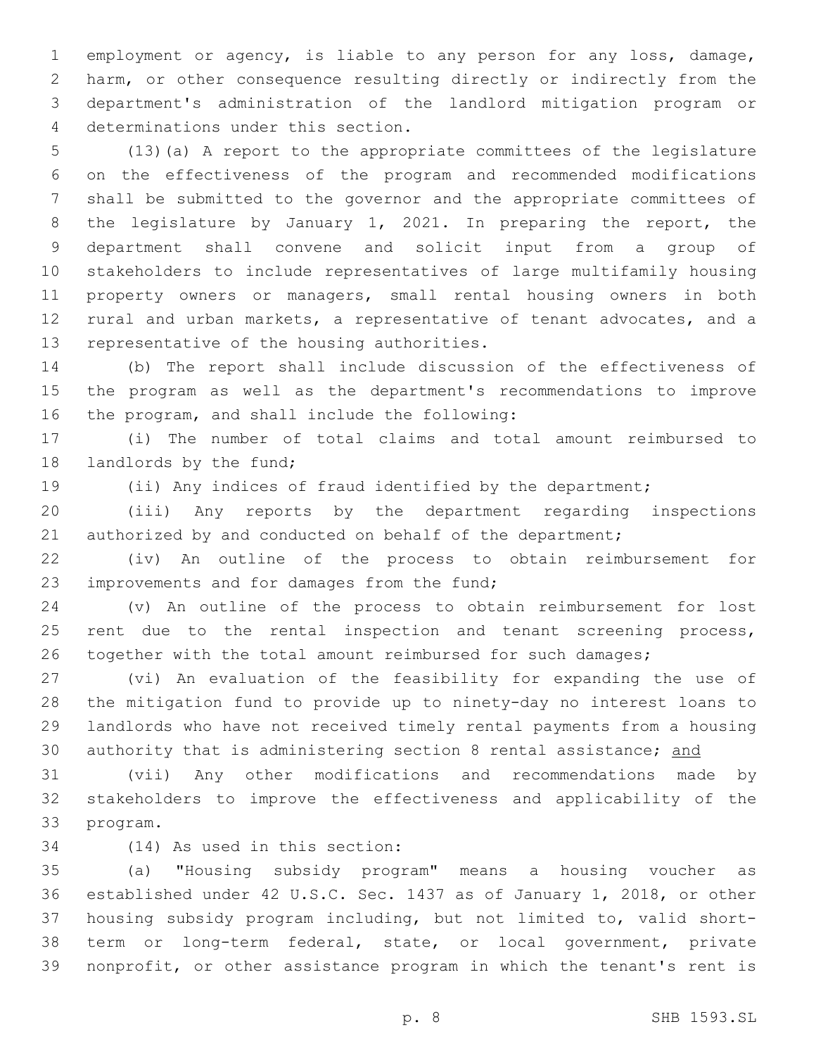employment or agency, is liable to any person for any loss, damage, harm, or other consequence resulting directly or indirectly from the department's administration of the landlord mitigation program or determinations under this section.4

 (13)(a) A report to the appropriate committees of the legislature on the effectiveness of the program and recommended modifications shall be submitted to the governor and the appropriate committees of the legislature by January 1, 2021. In preparing the report, the department shall convene and solicit input from a group of stakeholders to include representatives of large multifamily housing property owners or managers, small rental housing owners in both rural and urban markets, a representative of tenant advocates, and a 13 representative of the housing authorities.

 (b) The report shall include discussion of the effectiveness of the program as well as the department's recommendations to improve 16 the program, and shall include the following:

 (i) The number of total claims and total amount reimbursed to 18 landlords by the fund;

(ii) Any indices of fraud identified by the department;

 (iii) Any reports by the department regarding inspections 21 authorized by and conducted on behalf of the department;

 (iv) An outline of the process to obtain reimbursement for 23 improvements and for damages from the fund;

 (v) An outline of the process to obtain reimbursement for lost 25 rent due to the rental inspection and tenant screening process, 26 together with the total amount reimbursed for such damages;

 (vi) An evaluation of the feasibility for expanding the use of the mitigation fund to provide up to ninety-day no interest loans to landlords who have not received timely rental payments from a housing 30 authority that is administering section 8 rental assistance; and

 (vii) Any other modifications and recommendations made by stakeholders to improve the effectiveness and applicability of the 33 program.

34 (14) As used in this section:

 (a) "Housing subsidy program" means a housing voucher as established under 42 U.S.C. Sec. 1437 as of January 1, 2018, or other housing subsidy program including, but not limited to, valid short- term or long-term federal, state, or local government, private nonprofit, or other assistance program in which the tenant's rent is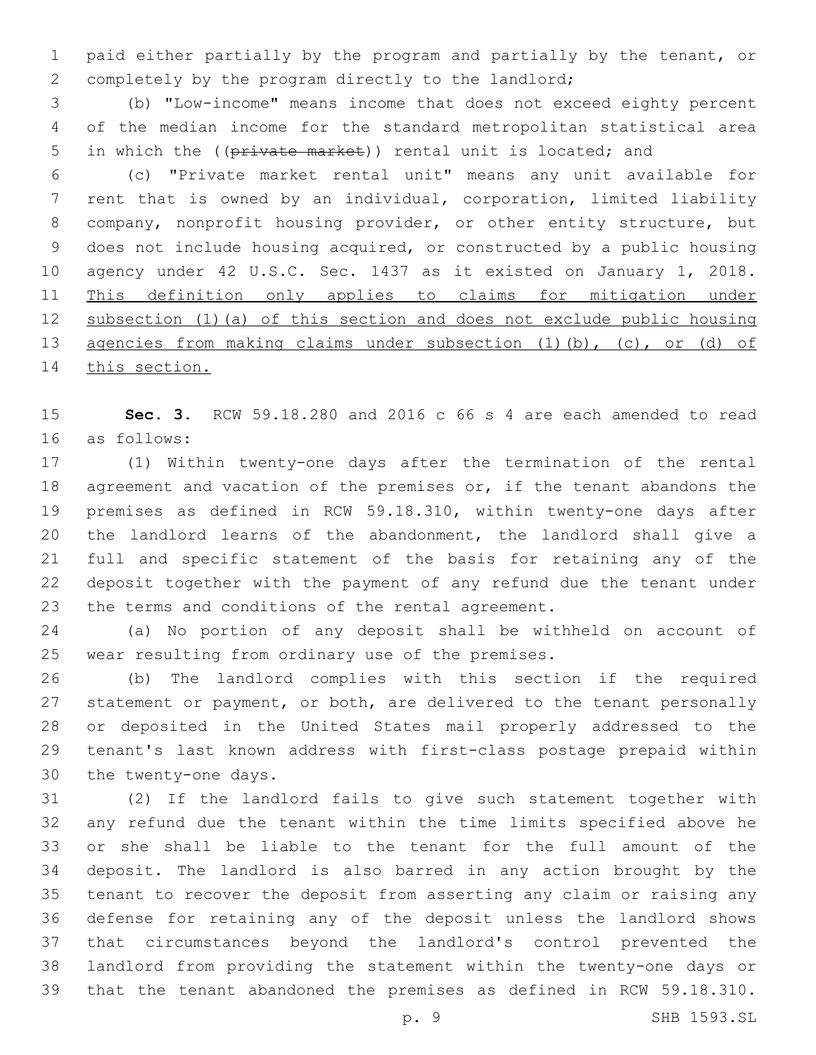paid either partially by the program and partially by the tenant, or completely by the program directly to the landlord;

 (b) "Low-income" means income that does not exceed eighty percent of the median income for the standard metropolitan statistical area 5 in which the ((private market)) rental unit is located; and

 (c) "Private market rental unit" means any unit available for rent that is owned by an individual, corporation, limited liability company, nonprofit housing provider, or other entity structure, but does not include housing acquired, or constructed by a public housing agency under 42 U.S.C. Sec. 1437 as it existed on January 1, 2018. This definition only applies to claims for mitigation under subsection (1)(a) of this section and does not exclude public housing agencies from making claims under subsection (1)(b), (c), or (d) of 14 this section.

 **Sec. 3.** RCW 59.18.280 and 2016 c 66 s 4 are each amended to read as follows:16

 (1) Within twenty-one days after the termination of the rental 18 agreement and vacation of the premises or, if the tenant abandons the premises as defined in RCW 59.18.310, within twenty-one days after the landlord learns of the abandonment, the landlord shall give a full and specific statement of the basis for retaining any of the deposit together with the payment of any refund due the tenant under 23 the terms and conditions of the rental agreement.

 (a) No portion of any deposit shall be withheld on account of 25 wear resulting from ordinary use of the premises.

 (b) The landlord complies with this section if the required 27 statement or payment, or both, are delivered to the tenant personally or deposited in the United States mail properly addressed to the tenant's last known address with first-class postage prepaid within 30 the twenty-one days.

 (2) If the landlord fails to give such statement together with any refund due the tenant within the time limits specified above he or she shall be liable to the tenant for the full amount of the deposit. The landlord is also barred in any action brought by the tenant to recover the deposit from asserting any claim or raising any defense for retaining any of the deposit unless the landlord shows that circumstances beyond the landlord's control prevented the landlord from providing the statement within the twenty-one days or that the tenant abandoned the premises as defined in RCW 59.18.310.

p. 9 SHB 1593.SL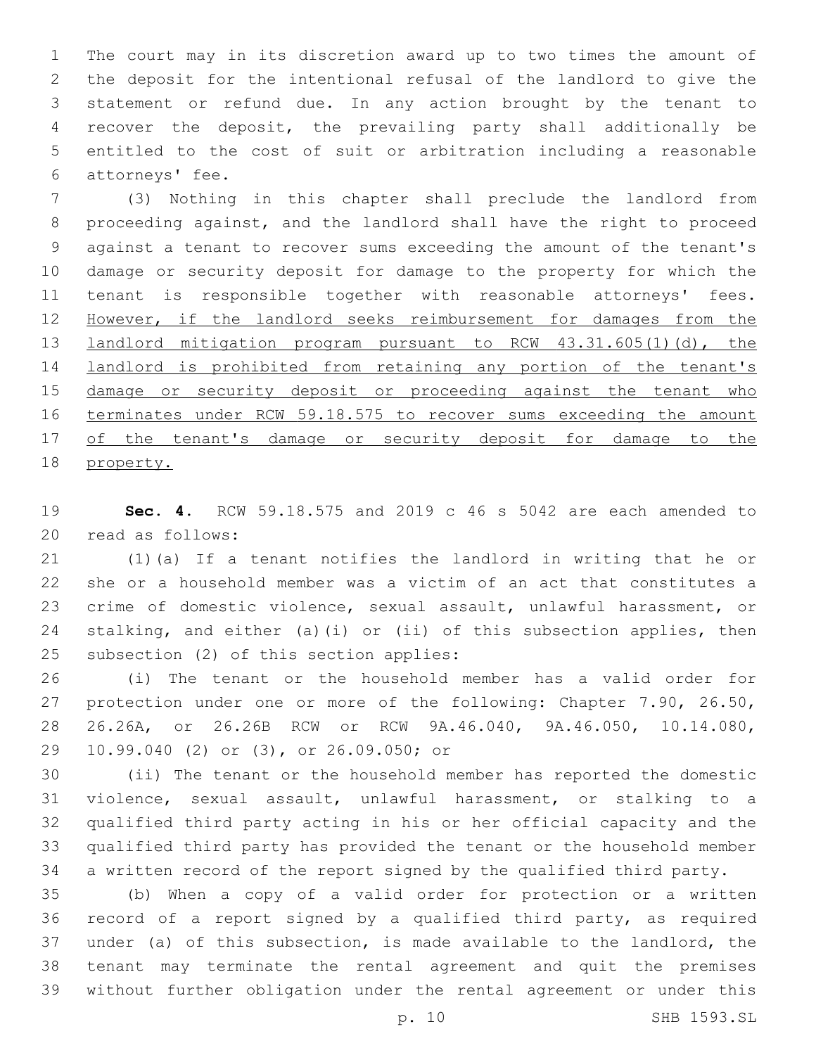The court may in its discretion award up to two times the amount of the deposit for the intentional refusal of the landlord to give the statement or refund due. In any action brought by the tenant to recover the deposit, the prevailing party shall additionally be entitled to the cost of suit or arbitration including a reasonable 6 attorneys' fee.

 (3) Nothing in this chapter shall preclude the landlord from proceeding against, and the landlord shall have the right to proceed against a tenant to recover sums exceeding the amount of the tenant's damage or security deposit for damage to the property for which the tenant is responsible together with reasonable attorneys' fees. However, if the landlord seeks reimbursement for damages from the landlord mitigation program pursuant to RCW 43.31.605(1)(d), the landlord is prohibited from retaining any portion of the tenant's 15 damage or security deposit or proceeding against the tenant who 16 terminates under RCW 59.18.575 to recover sums exceeding the amount 17 of the tenant's damage or security deposit for damage to the property.

 **Sec. 4.** RCW 59.18.575 and 2019 c 46 s 5042 are each amended to 20 read as follows:

 (1)(a) If a tenant notifies the landlord in writing that he or she or a household member was a victim of an act that constitutes a crime of domestic violence, sexual assault, unlawful harassment, or stalking, and either (a)(i) or (ii) of this subsection applies, then 25 subsection (2) of this section applies:

 (i) The tenant or the household member has a valid order for protection under one or more of the following: Chapter 7.90, 26.50, 26.26A, or 26.26B RCW or RCW 9A.46.040, 9A.46.050, 10.14.080, 29 10.99.040 (2) or (3), or 26.09.050; or

 (ii) The tenant or the household member has reported the domestic violence, sexual assault, unlawful harassment, or stalking to a qualified third party acting in his or her official capacity and the qualified third party has provided the tenant or the household member a written record of the report signed by the qualified third party.

 (b) When a copy of a valid order for protection or a written record of a report signed by a qualified third party, as required under (a) of this subsection, is made available to the landlord, the tenant may terminate the rental agreement and quit the premises without further obligation under the rental agreement or under this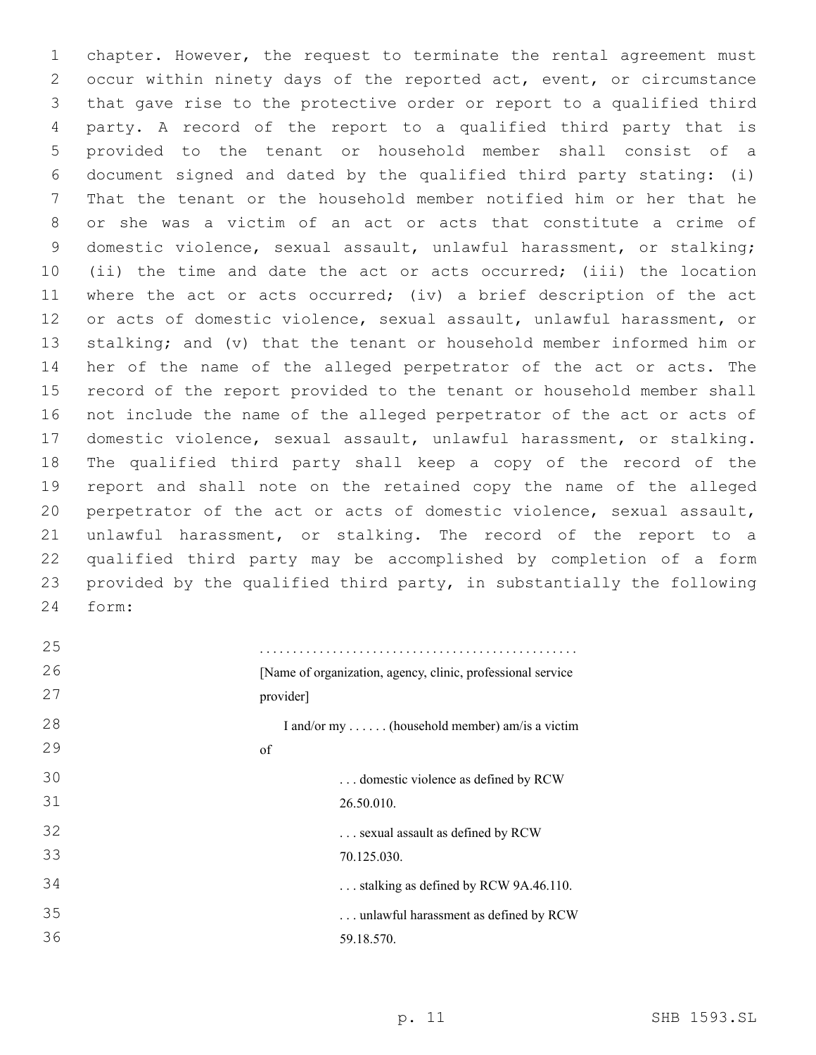chapter. However, the request to terminate the rental agreement must occur within ninety days of the reported act, event, or circumstance that gave rise to the protective order or report to a qualified third party. A record of the report to a qualified third party that is provided to the tenant or household member shall consist of a document signed and dated by the qualified third party stating: (i) That the tenant or the household member notified him or her that he or she was a victim of an act or acts that constitute a crime of domestic violence, sexual assault, unlawful harassment, or stalking; (ii) the time and date the act or acts occurred; (iii) the location where the act or acts occurred; (iv) a brief description of the act or acts of domestic violence, sexual assault, unlawful harassment, or stalking; and (v) that the tenant or household member informed him or her of the name of the alleged perpetrator of the act or acts. The record of the report provided to the tenant or household member shall not include the name of the alleged perpetrator of the act or acts of domestic violence, sexual assault, unlawful harassment, or stalking. The qualified third party shall keep a copy of the record of the report and shall note on the retained copy the name of the alleged perpetrator of the act or acts of domestic violence, sexual assault, unlawful harassment, or stalking. The record of the report to a qualified third party may be accomplished by completion of a form provided by the qualified third party, in substantially the following form:24

| 25 |                                                              |
|----|--------------------------------------------------------------|
| 26 | [Name of organization, agency, clinic, professional service] |
| 27 | provider]                                                    |
| 28 | I and/or my  (household member) am/is a victim               |
| 29 | of                                                           |
| 30 | domestic violence as defined by RCW                          |
| 31 | 26.50.010.                                                   |
| 32 | sexual assault as defined by RCW                             |
| 33 | 70.125.030.                                                  |
| 34 | $\ldots$ stalking as defined by RCW 9A.46.110.               |
| 35 | unlawful harassment as defined by RCW                        |
| 36 | 59.18.570.                                                   |
|    |                                                              |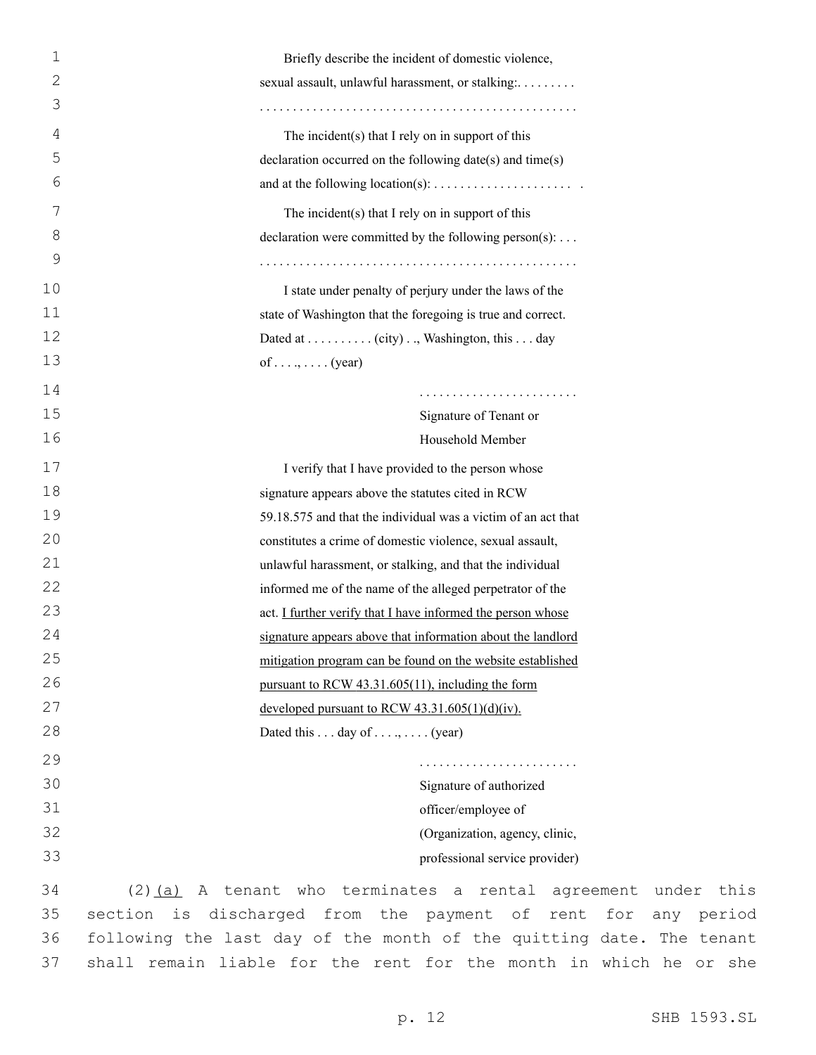| $\mathbf 1$  | Briefly describe the incident of domestic violence,                     |
|--------------|-------------------------------------------------------------------------|
| $\mathbf{2}$ | sexual assault, unlawful harassment, or stalking:                       |
| 3            |                                                                         |
| 4            | The incident(s) that I rely on in support of this                       |
| 5            | declaration occurred on the following date(s) and time(s)               |
| 6            | and at the following location(s): $\dots \dots \dots \dots \dots \dots$ |
| 7            | The incident $(s)$ that I rely on in support of this                    |
| 8            | declaration were committed by the following person(s):                  |
| 9            |                                                                         |
| 10           | I state under penalty of perjury under the laws of the                  |
| 11           | state of Washington that the foregoing is true and correct.             |
| 12           | Dated at (city), Washington, this day                                   |
| 13           | of (year)                                                               |
| 14           |                                                                         |
| 15           | Signature of Tenant or                                                  |
| 16           | Household Member                                                        |
| 17           | I verify that I have provided to the person whose                       |
| 18           | signature appears above the statutes cited in RCW                       |
| 19           | 59.18.575 and that the individual was a victim of an act that           |
| 20           | constitutes a crime of domestic violence, sexual assault,               |
| 21           | unlawful harassment, or stalking, and that the individual               |
| 22           | informed me of the name of the alleged perpetrator of the               |
| 23           | act. I further verify that I have informed the person whose             |
| 24           | signature appears above that information about the landlord             |
| 25           | mitigation program can be found on the website established              |
| 26           | pursuant to RCW 43.31.605(11), including the form                       |
| 27           | developed pursuant to RCW $43.31.605(1)(d)(iv)$ .                       |
| 28           | Dated this  day of ,  (year)                                            |
| 29           |                                                                         |
| 30           | Signature of authorized                                                 |
| 31           | officer/employee of                                                     |
| 32           | (Organization, agency, clinic,                                          |
| 33           | professional service provider)                                          |
| 34           | $(2)$ (a) A tenant who terminates a rental agreeme                      |
| 35           | section is discharged from the payment of rent f                        |

nent under this section is discharged from the payment of rent for any period following the last day of the month of the quitting date. The tenant shall remain liable for the rent for the month in which he or she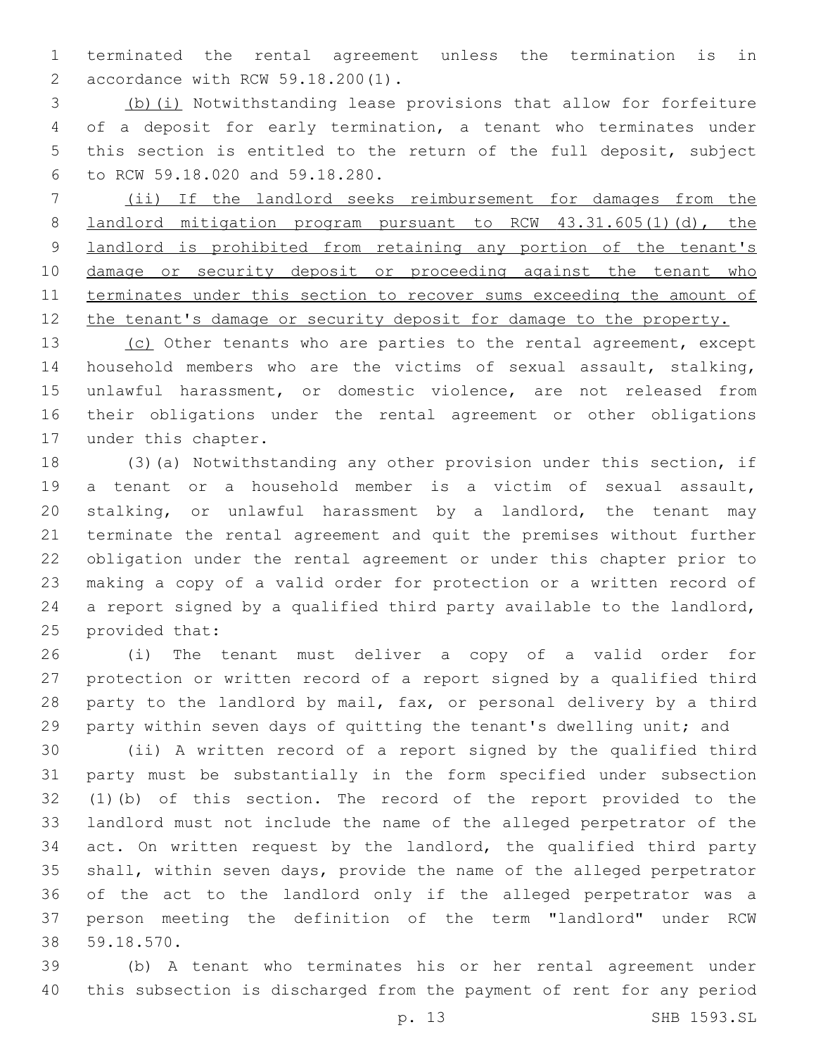terminated the rental agreement unless the termination is in accordance with RCW 59.18.200(1).2

 (b)(i) Notwithstanding lease provisions that allow for forfeiture of a deposit for early termination, a tenant who terminates under this section is entitled to the return of the full deposit, subject to RCW 59.18.020 and 59.18.280.6

 (ii) If the landlord seeks reimbursement for damages from the **landlord mitigation program pursuant to RCW 43.31.605(1)(d), the** 9 landlord is prohibited from retaining any portion of the tenant's damage or security deposit or proceeding against the tenant who terminates under this section to recover sums exceeding the amount of 12 the tenant's damage or security deposit for damage to the property.

13 (c) Other tenants who are parties to the rental agreement, except household members who are the victims of sexual assault, stalking, unlawful harassment, or domestic violence, are not released from their obligations under the rental agreement or other obligations 17 under this chapter.

 (3)(a) Notwithstanding any other provision under this section, if a tenant or a household member is a victim of sexual assault, stalking, or unlawful harassment by a landlord, the tenant may terminate the rental agreement and quit the premises without further obligation under the rental agreement or under this chapter prior to making a copy of a valid order for protection or a written record of a report signed by a qualified third party available to the landlord, 25 provided that:

 (i) The tenant must deliver a copy of a valid order for protection or written record of a report signed by a qualified third party to the landlord by mail, fax, or personal delivery by a third party within seven days of quitting the tenant's dwelling unit; and

 (ii) A written record of a report signed by the qualified third party must be substantially in the form specified under subsection (1)(b) of this section. The record of the report provided to the landlord must not include the name of the alleged perpetrator of the act. On written request by the landlord, the qualified third party shall, within seven days, provide the name of the alleged perpetrator of the act to the landlord only if the alleged perpetrator was a person meeting the definition of the term "landlord" under RCW 59.18.570.38

 (b) A tenant who terminates his or her rental agreement under this subsection is discharged from the payment of rent for any period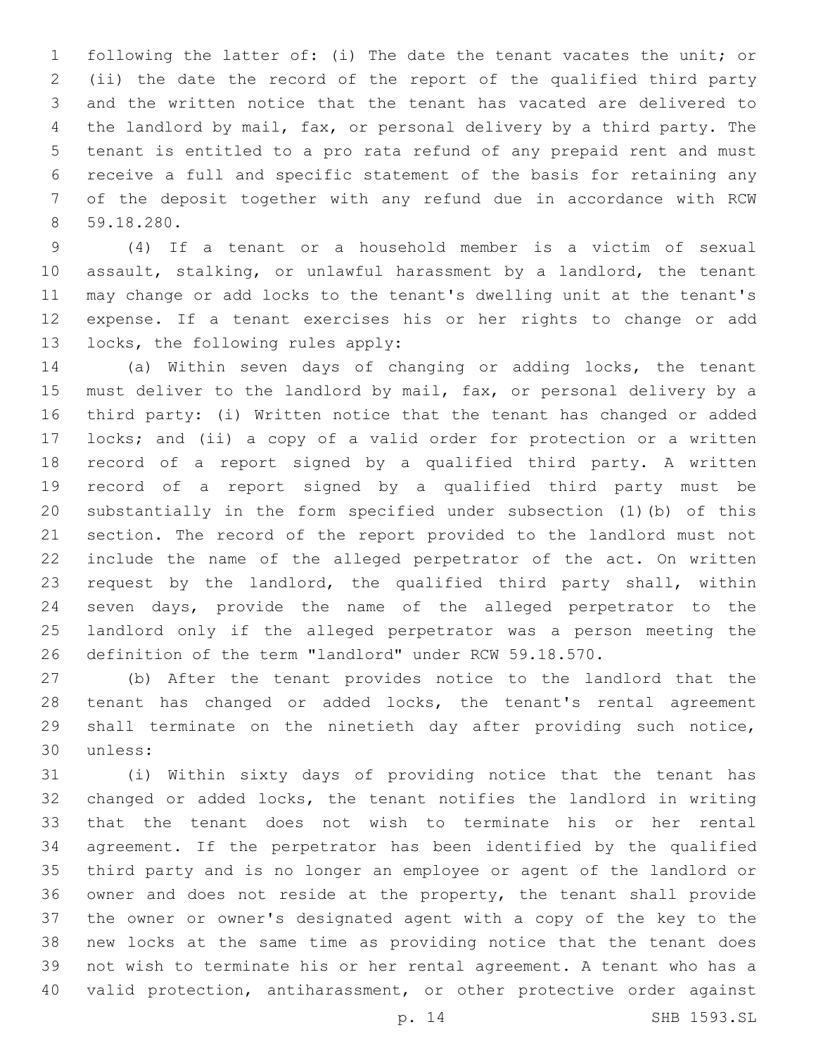following the latter of: (i) The date the tenant vacates the unit; or (ii) the date the record of the report of the qualified third party and the written notice that the tenant has vacated are delivered to the landlord by mail, fax, or personal delivery by a third party. The tenant is entitled to a pro rata refund of any prepaid rent and must receive a full and specific statement of the basis for retaining any of the deposit together with any refund due in accordance with RCW 59.18.280.8

 (4) If a tenant or a household member is a victim of sexual assault, stalking, or unlawful harassment by a landlord, the tenant may change or add locks to the tenant's dwelling unit at the tenant's expense. If a tenant exercises his or her rights to change or add 13 locks, the following rules apply:

 (a) Within seven days of changing or adding locks, the tenant must deliver to the landlord by mail, fax, or personal delivery by a third party: (i) Written notice that the tenant has changed or added locks; and (ii) a copy of a valid order for protection or a written record of a report signed by a qualified third party. A written record of a report signed by a qualified third party must be substantially in the form specified under subsection (1)(b) of this section. The record of the report provided to the landlord must not include the name of the alleged perpetrator of the act. On written request by the landlord, the qualified third party shall, within seven days, provide the name of the alleged perpetrator to the landlord only if the alleged perpetrator was a person meeting the definition of the term "landlord" under RCW 59.18.570.

 (b) After the tenant provides notice to the landlord that the tenant has changed or added locks, the tenant's rental agreement shall terminate on the ninetieth day after providing such notice, 30 unless:

 (i) Within sixty days of providing notice that the tenant has changed or added locks, the tenant notifies the landlord in writing that the tenant does not wish to terminate his or her rental agreement. If the perpetrator has been identified by the qualified third party and is no longer an employee or agent of the landlord or owner and does not reside at the property, the tenant shall provide the owner or owner's designated agent with a copy of the key to the new locks at the same time as providing notice that the tenant does not wish to terminate his or her rental agreement. A tenant who has a valid protection, antiharassment, or other protective order against

p. 14 SHB 1593.SL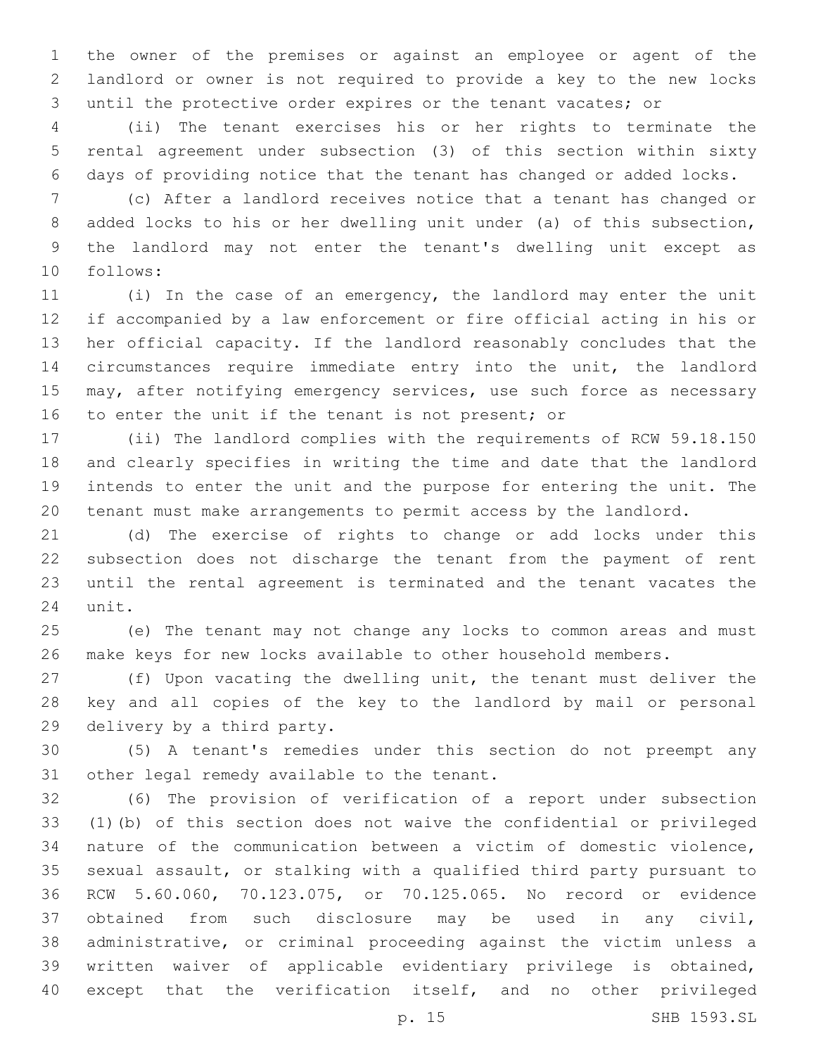the owner of the premises or against an employee or agent of the landlord or owner is not required to provide a key to the new locks until the protective order expires or the tenant vacates; or

 (ii) The tenant exercises his or her rights to terminate the rental agreement under subsection (3) of this section within sixty days of providing notice that the tenant has changed or added locks.

 (c) After a landlord receives notice that a tenant has changed or added locks to his or her dwelling unit under (a) of this subsection, the landlord may not enter the tenant's dwelling unit except as follows:10

 (i) In the case of an emergency, the landlord may enter the unit if accompanied by a law enforcement or fire official acting in his or her official capacity. If the landlord reasonably concludes that the circumstances require immediate entry into the unit, the landlord may, after notifying emergency services, use such force as necessary 16 to enter the unit if the tenant is not present; or

 (ii) The landlord complies with the requirements of RCW 59.18.150 and clearly specifies in writing the time and date that the landlord intends to enter the unit and the purpose for entering the unit. The tenant must make arrangements to permit access by the landlord.

 (d) The exercise of rights to change or add locks under this subsection does not discharge the tenant from the payment of rent until the rental agreement is terminated and the tenant vacates the 24 unit.

 (e) The tenant may not change any locks to common areas and must make keys for new locks available to other household members.

 (f) Upon vacating the dwelling unit, the tenant must deliver the key and all copies of the key to the landlord by mail or personal 29 delivery by a third party.

 (5) A tenant's remedies under this section do not preempt any 31 other legal remedy available to the tenant.

 (6) The provision of verification of a report under subsection (1)(b) of this section does not waive the confidential or privileged nature of the communication between a victim of domestic violence, sexual assault, or stalking with a qualified third party pursuant to RCW 5.60.060, 70.123.075, or 70.125.065. No record or evidence obtained from such disclosure may be used in any civil, administrative, or criminal proceeding against the victim unless a written waiver of applicable evidentiary privilege is obtained, except that the verification itself, and no other privileged

p. 15 SHB 1593.SL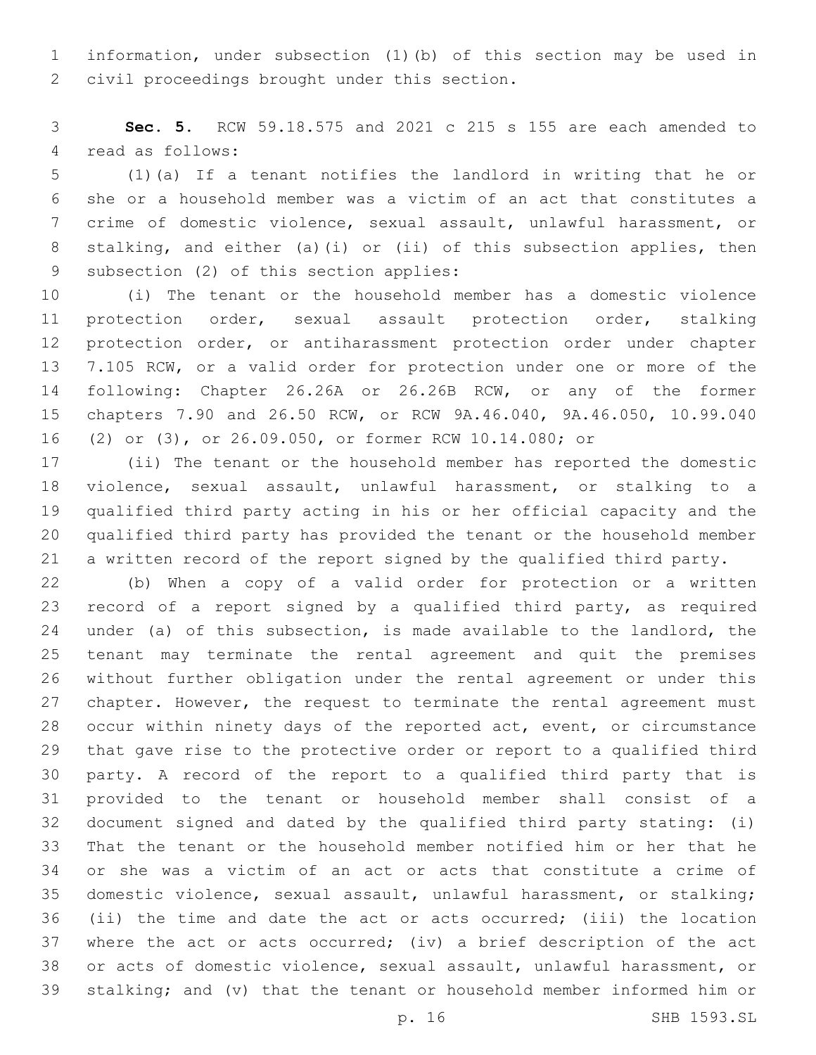information, under subsection (1)(b) of this section may be used in 2 civil proceedings brought under this section.

 **Sec. 5.** RCW 59.18.575 and 2021 c 215 s 155 are each amended to 4 read as follows:

 (1)(a) If a tenant notifies the landlord in writing that he or she or a household member was a victim of an act that constitutes a crime of domestic violence, sexual assault, unlawful harassment, or stalking, and either (a)(i) or (ii) of this subsection applies, then 9 subsection (2) of this section applies:

 (i) The tenant or the household member has a domestic violence protection order, sexual assault protection order, stalking protection order, or antiharassment protection order under chapter 7.105 RCW, or a valid order for protection under one or more of the following: Chapter 26.26A or 26.26B RCW, or any of the former chapters 7.90 and 26.50 RCW, or RCW 9A.46.040, 9A.46.050, 10.99.040 (2) or (3), or 26.09.050, or former RCW 10.14.080; or

 (ii) The tenant or the household member has reported the domestic violence, sexual assault, unlawful harassment, or stalking to a qualified third party acting in his or her official capacity and the qualified third party has provided the tenant or the household member a written record of the report signed by the qualified third party.

 (b) When a copy of a valid order for protection or a written record of a report signed by a qualified third party, as required under (a) of this subsection, is made available to the landlord, the tenant may terminate the rental agreement and quit the premises without further obligation under the rental agreement or under this chapter. However, the request to terminate the rental agreement must occur within ninety days of the reported act, event, or circumstance that gave rise to the protective order or report to a qualified third party. A record of the report to a qualified third party that is provided to the tenant or household member shall consist of a document signed and dated by the qualified third party stating: (i) That the tenant or the household member notified him or her that he or she was a victim of an act or acts that constitute a crime of domestic violence, sexual assault, unlawful harassment, or stalking; (ii) the time and date the act or acts occurred; (iii) the location where the act or acts occurred; (iv) a brief description of the act or acts of domestic violence, sexual assault, unlawful harassment, or stalking; and (v) that the tenant or household member informed him or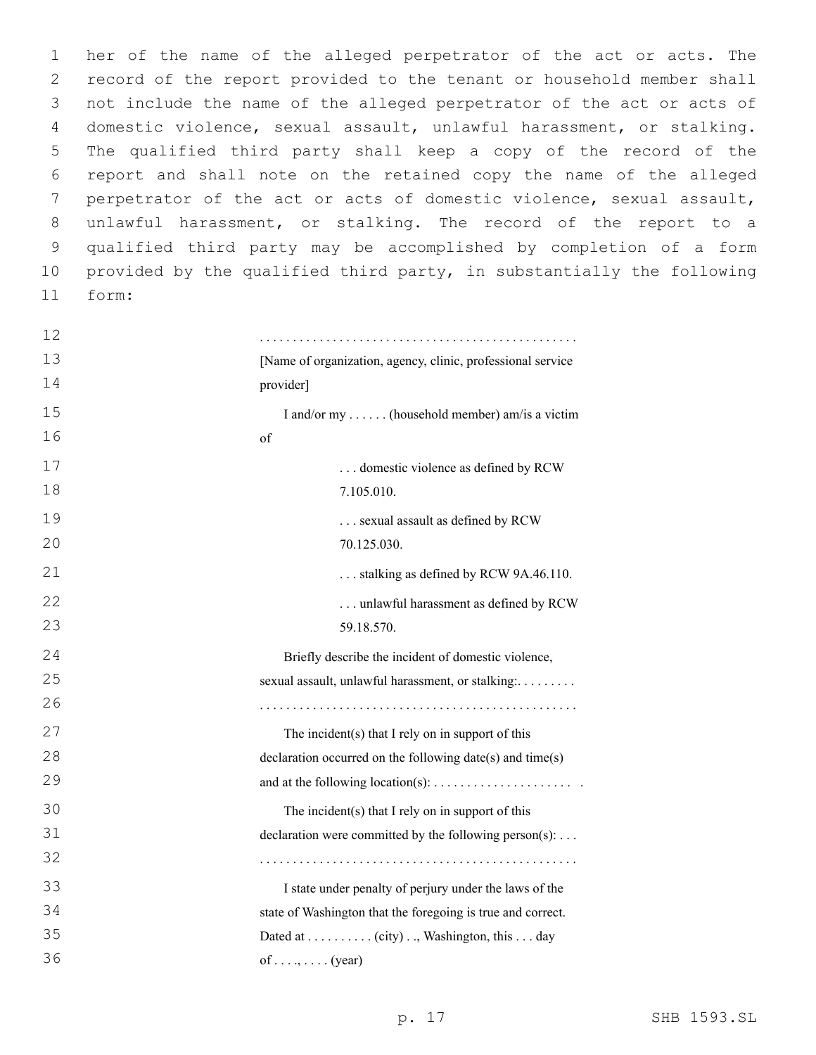her of the name of the alleged perpetrator of the act or acts. The record of the report provided to the tenant or household member shall not include the name of the alleged perpetrator of the act or acts of domestic violence, sexual assault, unlawful harassment, or stalking. The qualified third party shall keep a copy of the record of the report and shall note on the retained copy the name of the alleged perpetrator of the act or acts of domestic violence, sexual assault, unlawful harassment, or stalking. The record of the report to a qualified third party may be accomplished by completion of a form provided by the qualified third party, in substantially the following form:11

| 12 |                                                             |
|----|-------------------------------------------------------------|
| 13 | [Name of organization, agency, clinic, professional service |
| 14 | provider]                                                   |
| 15 | I and/or my  (household member) am/is a victim              |
| 16 | of                                                          |
| 17 | domestic violence as defined by RCW                         |
| 18 | 7.105.010.                                                  |
| 19 | sexual assault as defined by RCW                            |
| 20 | 70.125.030.                                                 |
| 21 | stalking as defined by RCW 9A.46.110.                       |
| 22 | unlawful harassment as defined by RCW                       |
| 23 | 59.18.570.                                                  |
| 24 | Briefly describe the incident of domestic violence,         |
| 25 | sexual assault, unlawful harassment, or stalking:           |
| 26 |                                                             |
| 27 | The incident(s) that I rely on in support of this           |
| 28 | declaration occurred on the following date(s) and time(s)   |
| 29 |                                                             |
| 30 | The incident(s) that I rely on in support of this           |
| 31 | declaration were committed by the following person(s):      |
| 32 |                                                             |
| 33 | I state under penalty of perjury under the laws of the      |
| 34 | state of Washington that the foregoing is true and correct. |
| 35 | Dated at (city), Washington, this day                       |
| 36 | of (year)                                                   |
|    |                                                             |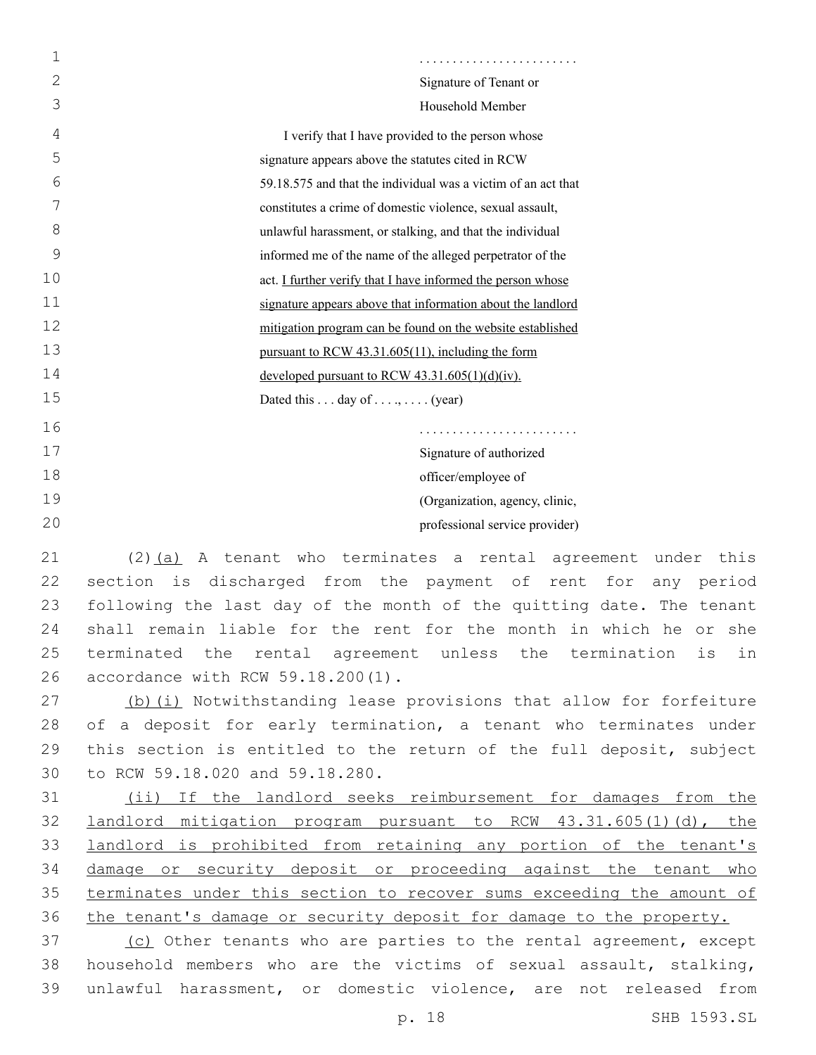| 1  |                                                               |
|----|---------------------------------------------------------------|
| 2  | Signature of Tenant or                                        |
| 3  | Household Member                                              |
| 4  | I verify that I have provided to the person whose             |
| 5  | signature appears above the statutes cited in RCW             |
| 6  | 59.18.575 and that the individual was a victim of an act that |
| 7  | constitutes a crime of domestic violence, sexual assault,     |
| 8  | unlawful harassment, or stalking, and that the individual     |
| 9  | informed me of the name of the alleged perpetrator of the     |
| 10 | act. I further verify that I have informed the person whose   |
| 11 | signature appears above that information about the landlord   |
| 12 | mitigation program can be found on the website established    |
| 13 | pursuant to RCW 43.31.605(11), including the form             |
| 14 | developed pursuant to RCW $43.31.605(1)(d)(iv)$ .             |
| 15 | Dated this  day of , $\dots$ (year)                           |
| 16 |                                                               |
| 17 | Signature of authorized                                       |
| 18 | officer/employee of                                           |
| 19 | (Organization, agency, clinic,                                |
| 20 | professional service provider)                                |
|    |                                                               |

 (2)(a) A tenant who terminates a rental agreement under this section is discharged from the payment of rent for any period following the last day of the month of the quitting date. The tenant shall remain liable for the rent for the month in which he or she terminated the rental agreement unless the termination is in 26 accordance with RCW 59.18.200(1).

27 (b)(i) Notwithstanding lease provisions that allow for forfeiture 28 of a deposit for early termination, a tenant who terminates under 29 this section is entitled to the return of the full deposit, subject 30 to RCW 59.18.020 and 59.18.280.

31 (ii) If the landlord seeks reimbursement for damages from the 32 landlord mitigation program pursuant to RCW 43.31.605(1)(d), the 33 landlord is prohibited from retaining any portion of the tenant's 34 damage or security deposit or proceeding against the tenant who 35 terminates under this section to recover sums exceeding the amount of 36 the tenant's damage or security deposit for damage to the property.

37 (c) Other tenants who are parties to the rental agreement, except 38 household members who are the victims of sexual assault, stalking, 39 unlawful harassment, or domestic violence, are not released from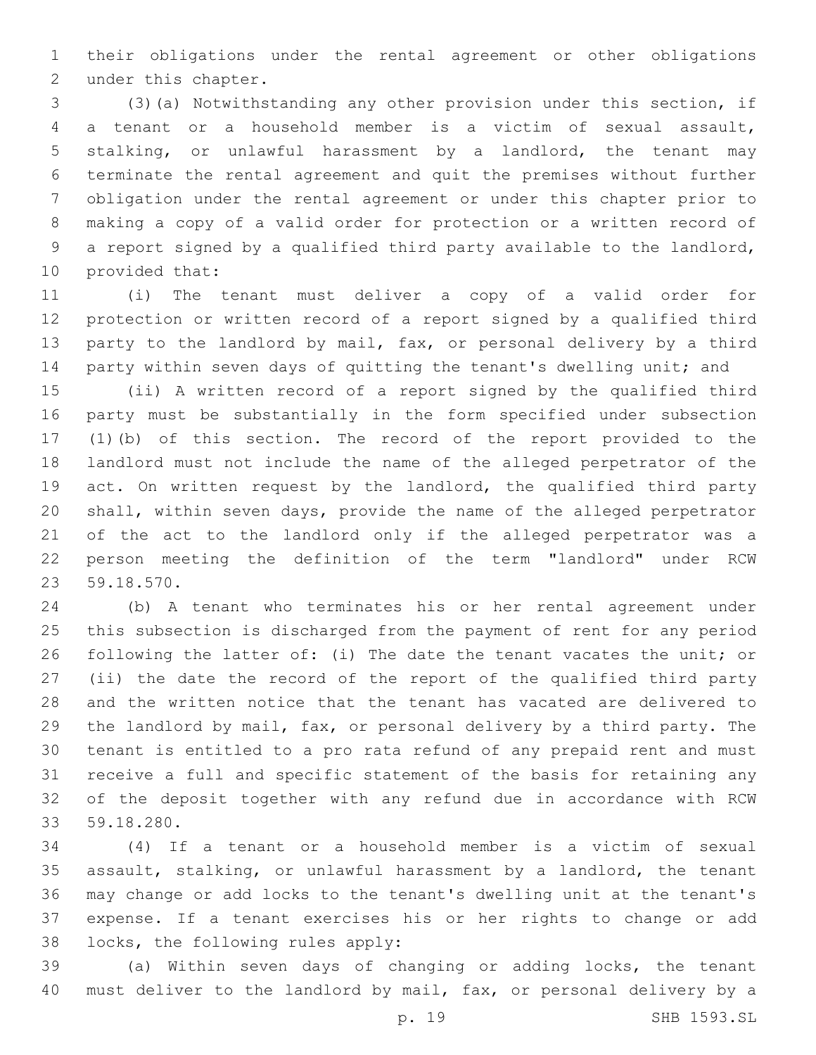their obligations under the rental agreement or other obligations 2 under this chapter.

 (3)(a) Notwithstanding any other provision under this section, if a tenant or a household member is a victim of sexual assault, stalking, or unlawful harassment by a landlord, the tenant may terminate the rental agreement and quit the premises without further obligation under the rental agreement or under this chapter prior to making a copy of a valid order for protection or a written record of a report signed by a qualified third party available to the landlord, 10 provided that:

 (i) The tenant must deliver a copy of a valid order for protection or written record of a report signed by a qualified third party to the landlord by mail, fax, or personal delivery by a third 14 party within seven days of quitting the tenant's dwelling unit; and

 (ii) A written record of a report signed by the qualified third party must be substantially in the form specified under subsection (1)(b) of this section. The record of the report provided to the landlord must not include the name of the alleged perpetrator of the act. On written request by the landlord, the qualified third party shall, within seven days, provide the name of the alleged perpetrator of the act to the landlord only if the alleged perpetrator was a person meeting the definition of the term "landlord" under RCW 59.18.570.23

 (b) A tenant who terminates his or her rental agreement under this subsection is discharged from the payment of rent for any period following the latter of: (i) The date the tenant vacates the unit; or (ii) the date the record of the report of the qualified third party and the written notice that the tenant has vacated are delivered to the landlord by mail, fax, or personal delivery by a third party. The tenant is entitled to a pro rata refund of any prepaid rent and must receive a full and specific statement of the basis for retaining any of the deposit together with any refund due in accordance with RCW 59.18.280.33

 (4) If a tenant or a household member is a victim of sexual assault, stalking, or unlawful harassment by a landlord, the tenant may change or add locks to the tenant's dwelling unit at the tenant's expense. If a tenant exercises his or her rights to change or add 38 locks, the following rules apply:

 (a) Within seven days of changing or adding locks, the tenant must deliver to the landlord by mail, fax, or personal delivery by a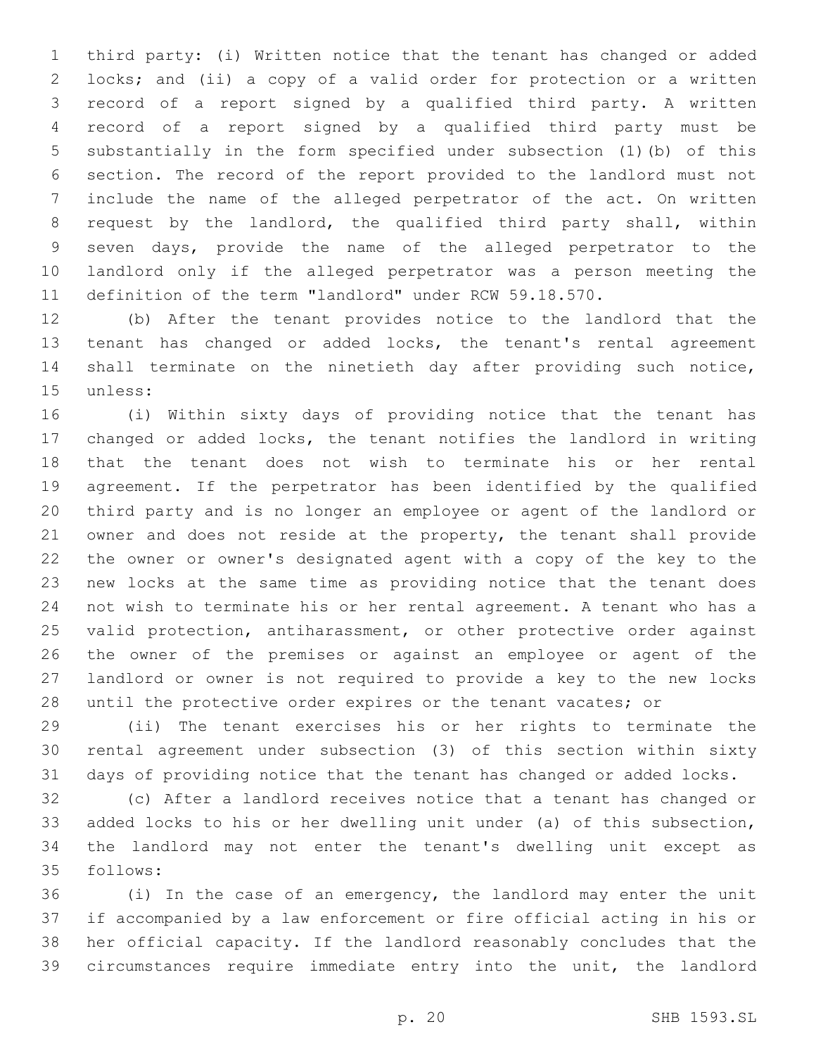third party: (i) Written notice that the tenant has changed or added locks; and (ii) a copy of a valid order for protection or a written record of a report signed by a qualified third party. A written record of a report signed by a qualified third party must be substantially in the form specified under subsection (1)(b) of this section. The record of the report provided to the landlord must not include the name of the alleged perpetrator of the act. On written request by the landlord, the qualified third party shall, within seven days, provide the name of the alleged perpetrator to the landlord only if the alleged perpetrator was a person meeting the definition of the term "landlord" under RCW 59.18.570.

 (b) After the tenant provides notice to the landlord that the tenant has changed or added locks, the tenant's rental agreement shall terminate on the ninetieth day after providing such notice, 15 unless:

 (i) Within sixty days of providing notice that the tenant has changed or added locks, the tenant notifies the landlord in writing that the tenant does not wish to terminate his or her rental agreement. If the perpetrator has been identified by the qualified third party and is no longer an employee or agent of the landlord or owner and does not reside at the property, the tenant shall provide the owner or owner's designated agent with a copy of the key to the new locks at the same time as providing notice that the tenant does not wish to terminate his or her rental agreement. A tenant who has a valid protection, antiharassment, or other protective order against the owner of the premises or against an employee or agent of the landlord or owner is not required to provide a key to the new locks 28 until the protective order expires or the tenant vacates; or

 (ii) The tenant exercises his or her rights to terminate the rental agreement under subsection (3) of this section within sixty days of providing notice that the tenant has changed or added locks.

 (c) After a landlord receives notice that a tenant has changed or added locks to his or her dwelling unit under (a) of this subsection, the landlord may not enter the tenant's dwelling unit except as 35 follows:

 (i) In the case of an emergency, the landlord may enter the unit if accompanied by a law enforcement or fire official acting in his or her official capacity. If the landlord reasonably concludes that the circumstances require immediate entry into the unit, the landlord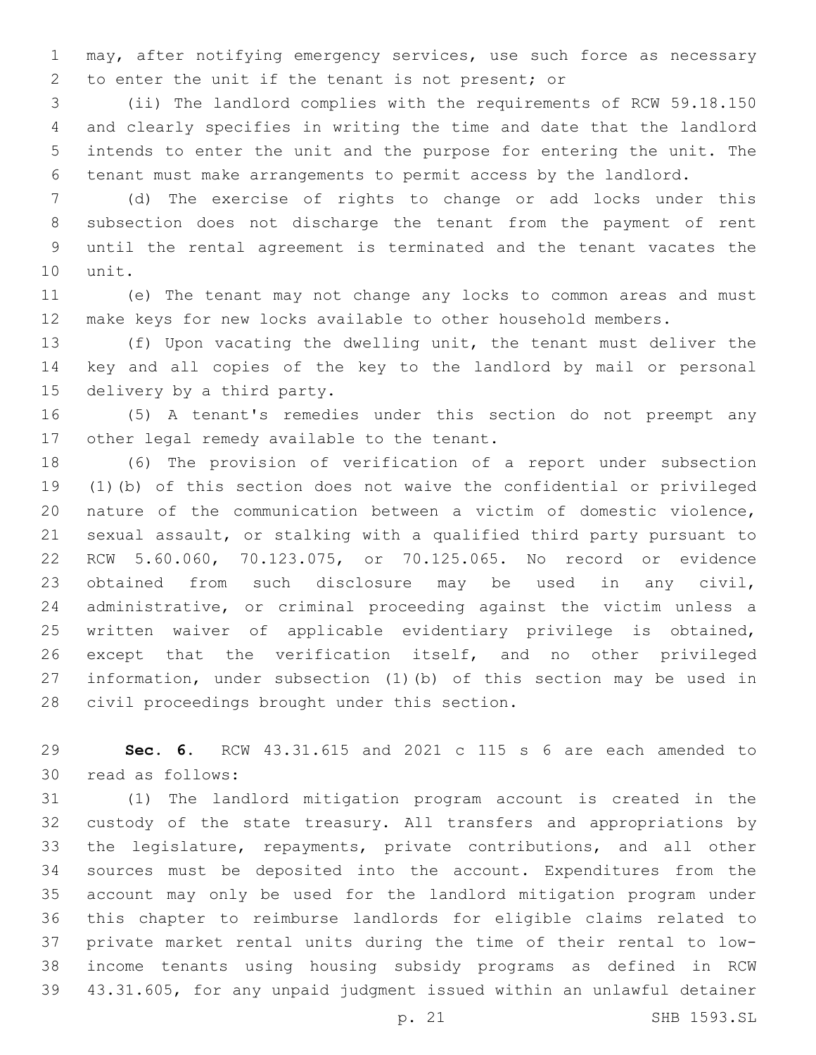may, after notifying emergency services, use such force as necessary 2 to enter the unit if the tenant is not present; or

 (ii) The landlord complies with the requirements of RCW 59.18.150 and clearly specifies in writing the time and date that the landlord intends to enter the unit and the purpose for entering the unit. The tenant must make arrangements to permit access by the landlord.

 (d) The exercise of rights to change or add locks under this subsection does not discharge the tenant from the payment of rent until the rental agreement is terminated and the tenant vacates the 10 unit.

 (e) The tenant may not change any locks to common areas and must make keys for new locks available to other household members.

 (f) Upon vacating the dwelling unit, the tenant must deliver the key and all copies of the key to the landlord by mail or personal 15 delivery by a third party.

 (5) A tenant's remedies under this section do not preempt any 17 other legal remedy available to the tenant.

 (6) The provision of verification of a report under subsection (1)(b) of this section does not waive the confidential or privileged nature of the communication between a victim of domestic violence, sexual assault, or stalking with a qualified third party pursuant to RCW 5.60.060, 70.123.075, or 70.125.065. No record or evidence obtained from such disclosure may be used in any civil, administrative, or criminal proceeding against the victim unless a written waiver of applicable evidentiary privilege is obtained, except that the verification itself, and no other privileged information, under subsection (1)(b) of this section may be used in 28 civil proceedings brought under this section.

 **Sec. 6.** RCW 43.31.615 and 2021 c 115 s 6 are each amended to 30 read as follows:

 (1) The landlord mitigation program account is created in the custody of the state treasury. All transfers and appropriations by the legislature, repayments, private contributions, and all other sources must be deposited into the account. Expenditures from the account may only be used for the landlord mitigation program under this chapter to reimburse landlords for eligible claims related to private market rental units during the time of their rental to low- income tenants using housing subsidy programs as defined in RCW 43.31.605, for any unpaid judgment issued within an unlawful detainer

p. 21 SHB 1593.SL